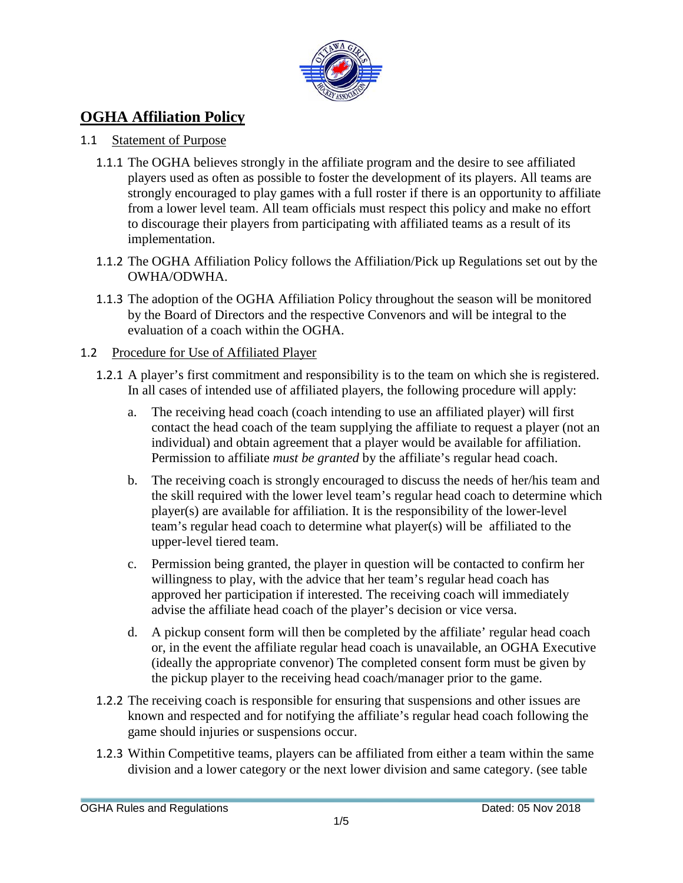

# **OGHA Affiliation Policy**

### 1.1 Statement of Purpose

- 1.1.1 The OGHA believes strongly in the affiliate program and the desire to see affiliated players used as often as possible to foster the development of its players. All teams are strongly encouraged to play games with a full roster if there is an opportunity to affiliate from a lower level team. All team officials must respect this policy and make no effort to discourage their players from participating with affiliated teams as a result of its implementation.
- 1.1.2 The OGHA Affiliation Policy follows the Affiliation/Pick up Regulations set out by the OWHA/ODWHA.
- 1.1.3 The adoption of the OGHA Affiliation Policy throughout the season will be monitored by the Board of Directors and the respective Convenors and will be integral to the evaluation of a coach within the OGHA.

#### 1.2 Procedure for Use of Affiliated Player

- 1.2.1 A player's first commitment and responsibility is to the team on which she is registered. In all cases of intended use of affiliated players, the following procedure will apply:
	- a. The receiving head coach (coach intending to use an affiliated player) will first contact the head coach of the team supplying the affiliate to request a player (not an individual) and obtain agreement that a player would be available for affiliation. Permission to affiliate *must be granted* by the affiliate's regular head coach.
	- b. The receiving coach is strongly encouraged to discuss the needs of her/his team and the skill required with the lower level team's regular head coach to determine which player(s) are available for affiliation. It is the responsibility of the lower-level team's regular head coach to determine what player(s) will be affiliated to the upper-level tiered team.
	- c. Permission being granted, the player in question will be contacted to confirm her willingness to play, with the advice that her team's regular head coach has approved her participation if interested. The receiving coach will immediately advise the affiliate head coach of the player's decision or vice versa.
	- d. A pickup consent form will then be completed by the affiliate' regular head coach or, in the event the affiliate regular head coach is unavailable, an OGHA Executive (ideally the appropriate convenor) The completed consent form must be given by the pickup player to the receiving head coach/manager prior to the game.
- 1.2.2 The receiving coach is responsible for ensuring that suspensions and other issues are known and respected and for notifying the affiliate's regular head coach following the game should injuries or suspensions occur.
- 1.2.3 Within Competitive teams, players can be affiliated from either a team within the same division and a lower category or the next lower division and same category. (see table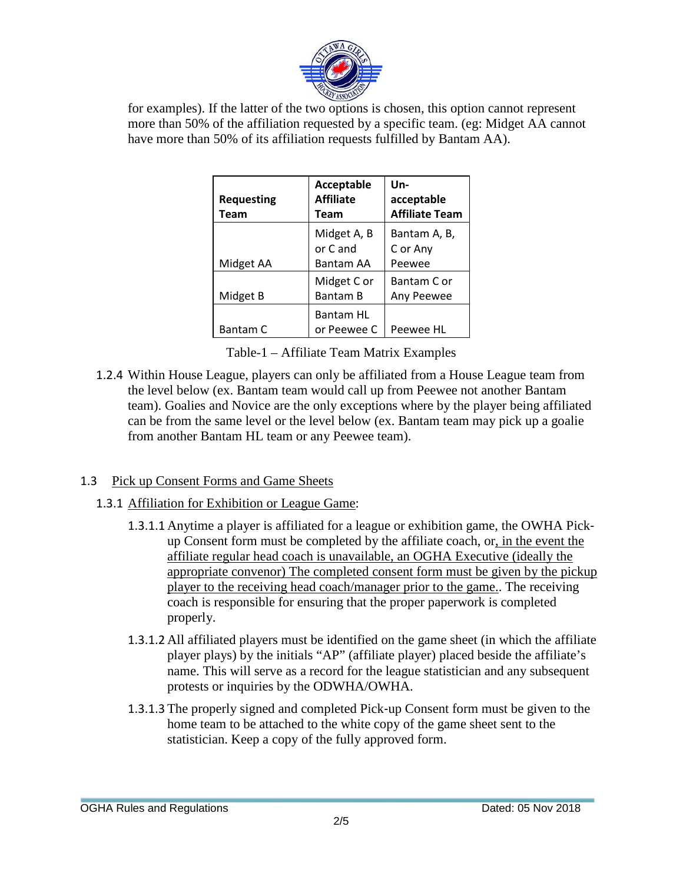

for examples). If the latter of the two options is chosen, this option cannot represent more than 50% of the affiliation requested by a specific team. (eg: Midget AA cannot have more than 50% of its affiliation requests fulfilled by Bantam AA).

| <b>Requesting</b><br>Team | Acceptable<br><b>Affiliate</b><br>Team | Un-<br>acceptable<br><b>Affiliate Team</b> |
|---------------------------|----------------------------------------|--------------------------------------------|
| Midget AA                 | Midget A, B<br>or C and<br>Bantam AA   | Bantam A, B,<br>C or Any<br>Peewee         |
| Midget B                  | Midget C or<br><b>Bantam B</b>         | Bantam C or<br>Any Peewee                  |
| <b>Bantam C</b>           | <b>Bantam HL</b><br>or Peewee C        | Peewee HL                                  |

Table-1 – Affiliate Team Matrix Examples

1.2.4 Within House League, players can only be affiliated from a House League team from the level below (ex. Bantam team would call up from Peewee not another Bantam team). Goalies and Novice are the only exceptions where by the player being affiliated can be from the same level or the level below (ex. Bantam team may pick up a goalie from another Bantam HL team or any Peewee team).

## 1.3 Pick up Consent Forms and Game Sheets

- 1.3.1 Affiliation for Exhibition or League Game:
	- 1.3.1.1 Anytime a player is affiliated for a league or exhibition game, the OWHA Pick‐ up Consent form must be completed by the affiliate coach, or, in the event the affiliate regular head coach is unavailable, an OGHA Executive (ideally the appropriate convenor) The completed consent form must be given by the pickup player to the receiving head coach/manager prior to the game.. The receiving coach is responsible for ensuring that the proper paperwork is completed properly.
	- 1.3.1.2 All affiliated players must be identified on the game sheet (in which the affiliate player plays) by the initials "AP" (affiliate player) placed beside the affiliate's name. This will serve as a record for the league statistician and any subsequent protests or inquiries by the ODWHA/OWHA.
	- 1.3.1.3 The properly signed and completed Pick‐up Consent form must be given to the home team to be attached to the white copy of the game sheet sent to the statistician. Keep a copy of the fully approved form.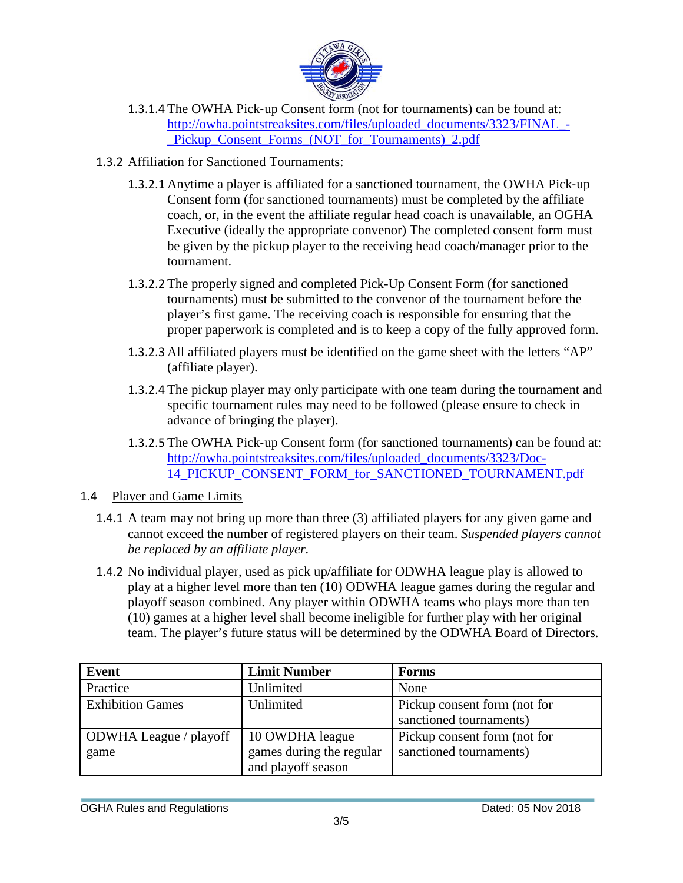

- 1.3.1.4 The OWHA Pick‐up Consent form (not for tournaments) can be found at: [http://owha.pointstreaksites.com/files/uploaded\\_documents/3323/FINAL\\_-](http://owha.pointstreaksites.com/files/uploaded_documents/3323/FINAL_-_Pickup_Consent_Forms_(NOT_for_Tournaments)_2.pdf) Pickup Consent Forms (NOT for Tournaments) 2.pdf
- 1.3.2 Affiliation for Sanctioned Tournaments:
	- 1.3.2.1 Anytime a player is affiliated for a sanctioned tournament, the OWHA Pick‐up Consent form (for sanctioned tournaments) must be completed by the affiliate coach, or, in the event the affiliate regular head coach is unavailable, an OGHA Executive (ideally the appropriate convenor) The completed consent form must be given by the pickup player to the receiving head coach/manager prior to the tournament.
	- 1.3.2.2 The properly signed and completed Pick-Up Consent Form (for sanctioned tournaments) must be submitted to the convenor of the tournament before the player's first game. The receiving coach is responsible for ensuring that the proper paperwork is completed and is to keep a copy of the fully approved form.
	- 1.3.2.3 All affiliated players must be identified on the game sheet with the letters "AP" (affiliate player).
	- 1.3.2.4 The pickup player may only participate with one team during the tournament and specific tournament rules may need to be followed (please ensure to check in advance of bringing the player).
	- 1.3.2.5 The OWHA Pick‐up Consent form (for sanctioned tournaments) can be found at: [http://owha.pointstreaksites.com/files/uploaded\\_documents/3323/Doc-](http://owha.pointstreaksites.com/files/uploaded_documents/3323/Doc-14_PICKUP_CONSENT_FORM_for_SANCTIONED_TOURNAMENT.pdf)[14\\_PICKUP\\_CONSENT\\_FORM\\_for\\_SANCTIONED\\_TOURNAMENT.pdf](http://owha.pointstreaksites.com/files/uploaded_documents/3323/Doc-14_PICKUP_CONSENT_FORM_for_SANCTIONED_TOURNAMENT.pdf)

#### 1.4 Player and Game Limits

- 1.4.1 A team may not bring up more than three (3) affiliated players for any given game and cannot exceed the number of registered players on their team. *Suspended players cannot be replaced by an affiliate player.*
- 1.4.2 No individual player, used as pick up/affiliate for ODWHA league play is allowed to play at a higher level more than ten (10) ODWHA league games during the regular and playoff season combined. Any player within ODWHA teams who plays more than ten (10) games at a higher level shall become ineligible for further play with her original team. The player's future status will be determined by the ODWHA Board of Directors.

| Event                   | <b>Limit Number</b>      | <b>Forms</b>                 |
|-------------------------|--------------------------|------------------------------|
| Practice                | Unlimited                | None                         |
| <b>Exhibition Games</b> | Unlimited                | Pickup consent form (not for |
|                         |                          | sanctioned tournaments)      |
| ODWHA League / playoff  | 10 OWDHA league          | Pickup consent form (not for |
| game                    | games during the regular | sanctioned tournaments)      |
|                         | and playoff season       |                              |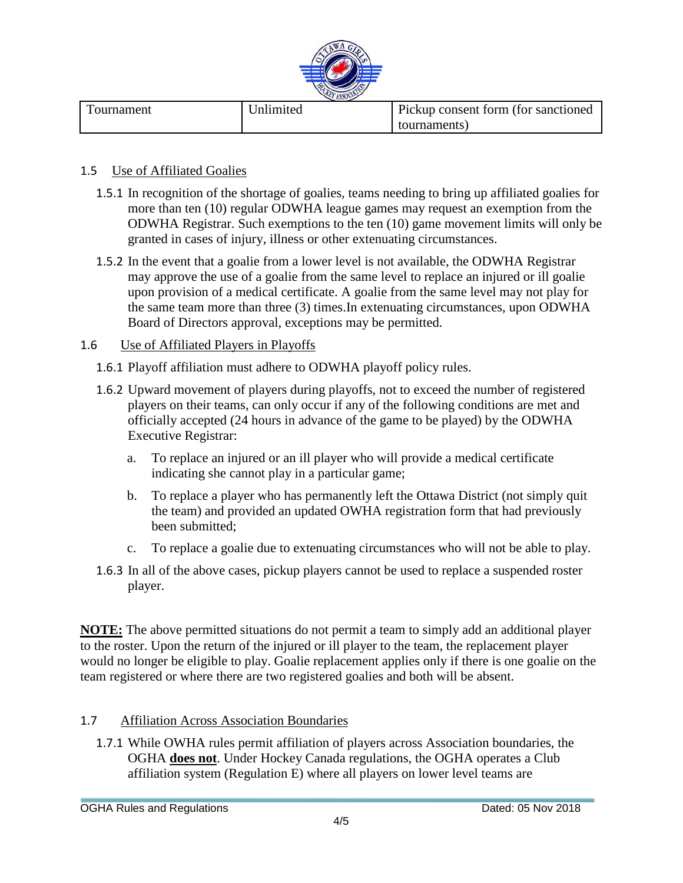

| Fournament | <b>J</b> nlimited | Pickup consent form (for sanctioned) |
|------------|-------------------|--------------------------------------|
|            |                   | tournaments                          |

#### 1.5 Use of Affiliated Goalies

- 1.5.1 In recognition of the shortage of goalies, teams needing to bring up affiliated goalies for more than ten (10) regular ODWHA league games may request an exemption from the ODWHA Registrar. Such exemptions to the ten (10) game movement limits will only be granted in cases of injury, illness or other extenuating circumstances.
- 1.5.2 In the event that a goalie from a lower level is not available, the ODWHA Registrar may approve the use of a goalie from the same level to replace an injured or ill goalie upon provision of a medical certificate. A goalie from the same level may not play for the same team more than three (3) times.In extenuating circumstances, upon ODWHA Board of Directors approval, exceptions may be permitted.

#### 1.6 Use of Affiliated Players in Playoffs

- 1.6.1 Playoff affiliation must adhere to ODWHA playoff policy rules.
- 1.6.2 Upward movement of players during playoffs, not to exceed the number of registered players on their teams, can only occur if any of the following conditions are met and officially accepted (24 hours in advance of the game to be played) by the ODWHA Executive Registrar:
	- a. To replace an injured or an ill player who will provide a medical certificate indicating she cannot play in a particular game;
	- b. To replace a player who has permanently left the Ottawa District (not simply quit the team) and provided an updated OWHA registration form that had previously been submitted;
	- c. To replace a goalie due to extenuating circumstances who will not be able to play.
- 1.6.3 In all of the above cases, pickup players cannot be used to replace a suspended roster player.

**NOTE:** The above permitted situations do not permit a team to simply add an additional player to the roster. Upon the return of the injured or ill player to the team, the replacement player would no longer be eligible to play. Goalie replacement applies only if there is one goalie on the team registered or where there are two registered goalies and both will be absent.

#### 1.7 Affiliation Across Association Boundaries

1.7.1 While OWHA rules permit affiliation of players across Association boundaries, the OGHA **does not**. Under Hockey Canada regulations, the OGHA operates a Club affiliation system (Regulation E) where all players on lower level teams are